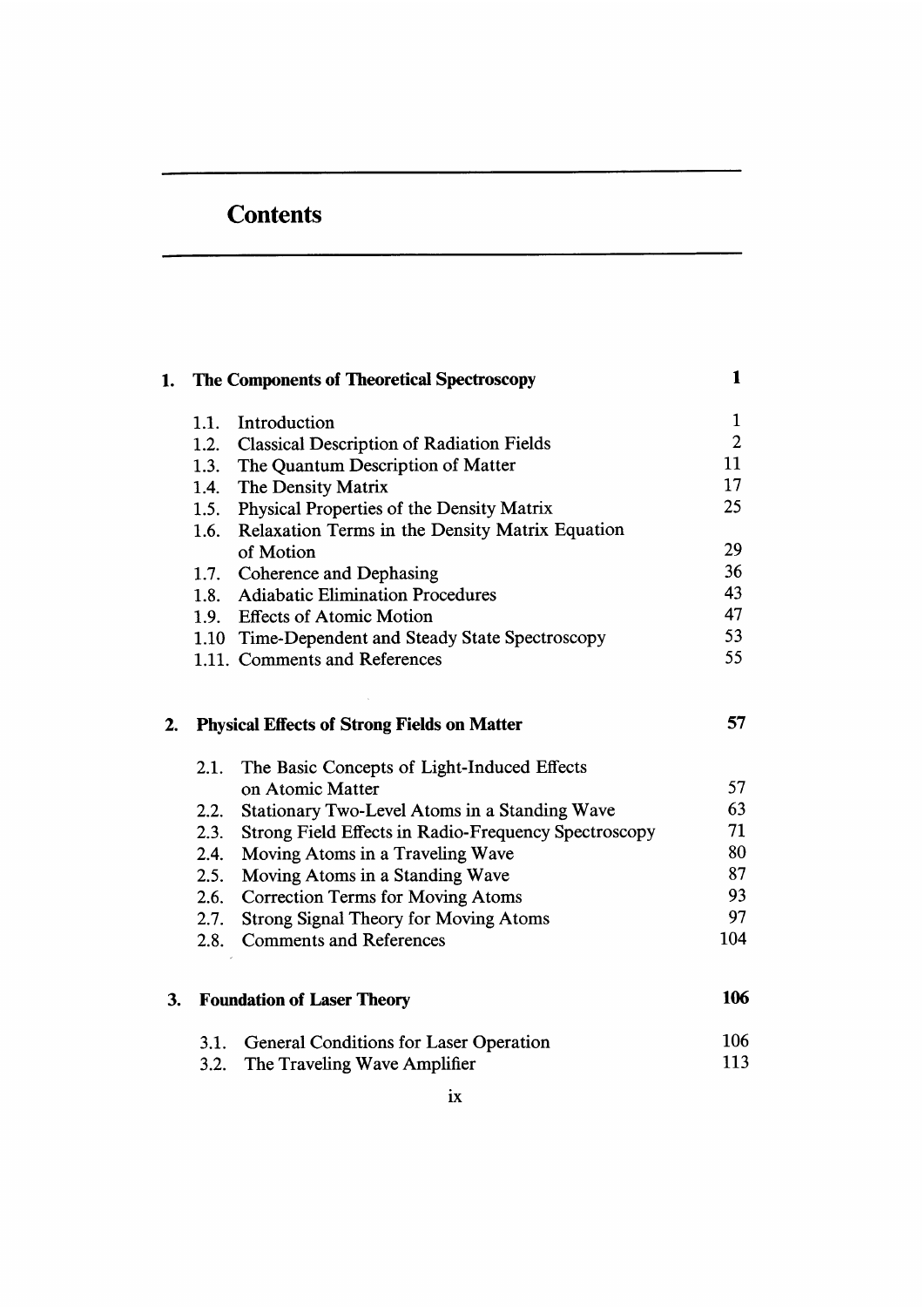## **Contents**

|    | 1. The Components of Theoretical Spectroscopy | 1                                                    |                |
|----|-----------------------------------------------|------------------------------------------------------|----------------|
|    | 1.1.                                          | Introduction                                         | $\mathbf{1}$   |
|    | 1.2.                                          | <b>Classical Description of Radiation Fields</b>     | $\overline{2}$ |
|    | 1.3.                                          | The Quantum Description of Matter                    | 11             |
|    | 1.4.                                          | The Density Matrix                                   | 17             |
|    | 1.5.                                          | Physical Properties of the Density Matrix            | 25             |
|    | 1.6.                                          | Relaxation Terms in the Density Matrix Equation      |                |
|    |                                               | of Motion                                            | 29             |
|    |                                               | 1.7. Coherence and Dephasing                         | 36             |
|    | 1.8.                                          | <b>Adiabatic Elimination Procedures</b>              | 43             |
|    |                                               | 1.9. Effects of Atomic Motion                        | 47             |
|    |                                               | 1.10 Time-Dependent and Steady State Spectroscopy    | 53             |
|    |                                               | 1.11. Comments and References                        | 55             |
| 2. |                                               | <b>Physical Effects of Strong Fields on Matter</b>   | 57             |
|    | 2.1.                                          | The Basic Concepts of Light-Induced Effects          |                |
|    |                                               | on Atomic Matter                                     | 57             |
|    | 2.2.                                          | Stationary Two-Level Atoms in a Standing Wave        | 63             |
|    | 2.3.                                          | Strong Field Effects in Radio-Frequency Spectroscopy | 71             |
|    |                                               | 2.4. Moving Atoms in a Traveling Wave                | 80             |
|    |                                               | 2.5. Moving Atoms in a Standing Wave                 | 87             |
|    | 2.6.                                          | <b>Correction Terms for Moving Atoms</b>             | 93             |
|    | 2.7.                                          | <b>Strong Signal Theory for Moving Atoms</b>         | 97             |
|    | 2.8.                                          | <b>Comments and References</b>                       | 104            |
| 3. | <b>Foundation of Laser Theory</b>             |                                                      |                |
|    | 3.1.                                          | General Conditions for Laser Operation               | 106            |
|    | 3.2.                                          | The Traveling Wave Amplifier                         | 113            |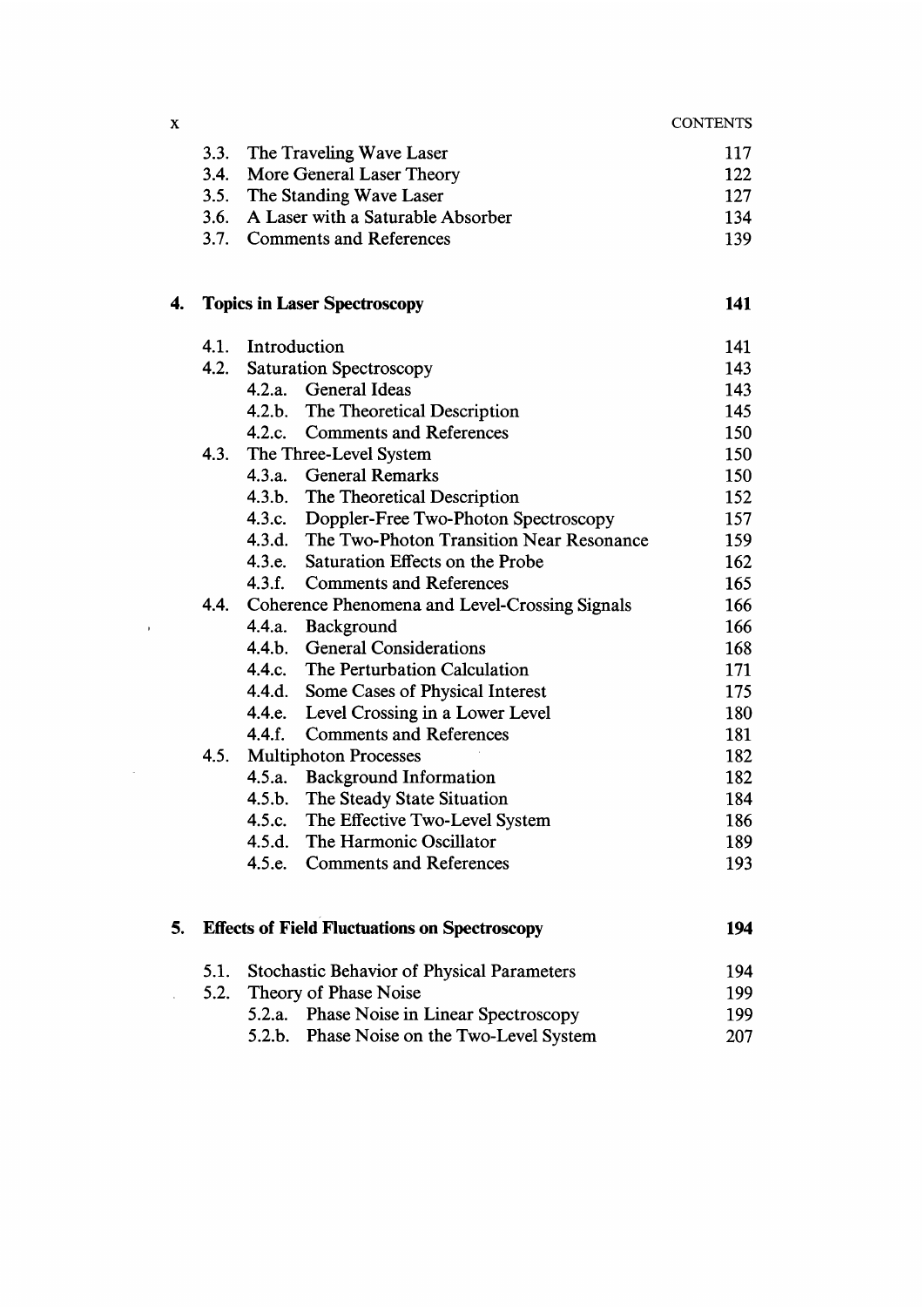|    | 3.3. | The Traveling Wave Laser                             | 117 |
|----|------|------------------------------------------------------|-----|
|    | 3.4. | More General Laser Theory                            | 122 |
|    | 3.5. | The Standing Wave Laser                              | 127 |
|    | 3.6. | A Laser with a Saturable Absorber                    | 134 |
|    |      | 3.7. Comments and References                         | 139 |
| 4. |      | <b>Topics in Laser Spectroscopy</b>                  | 141 |
|    | 4.1. | Introduction                                         | 141 |
|    | 4.2. | <b>Saturation Spectroscopy</b>                       | 143 |
|    |      | 4.2.a. General Ideas                                 | 143 |
|    |      | 4.2.b. The Theoretical Description                   | 145 |
|    |      | 4.2.c. Comments and References                       | 150 |
|    | 4.3. | The Three-Level System                               | 150 |
|    |      | 4.3.a. General Remarks                               | 150 |
|    |      | 4.3.b. The Theoretical Description                   | 152 |
|    |      | 4.3.c. Doppler-Free Two-Photon Spectroscopy          | 157 |
|    |      | 4.3.d. The Two-Photon Transition Near Resonance      | 159 |
|    |      | Saturation Effects on the Probe<br>4.3.e.            | 162 |
|    |      | 4.3.f.<br><b>Comments and References</b>             | 165 |
|    | 4.4. | Coherence Phenomena and Level-Crossing Signals       | 166 |
|    |      | 4.4.a. Background                                    | 166 |
|    |      | 4.4.b. General Considerations                        | 168 |
|    |      | The Perturbation Calculation<br>4.4.c.               | 171 |
|    |      | 4.4.d. Some Cases of Physical Interest               | 175 |
|    |      | 4.4.e. Level Crossing in a Lower Level               | 180 |
|    |      | 4.4.f.<br><b>Comments and References</b>             | 181 |
|    | 4.5. | <b>Multiphoton Processes</b>                         | 182 |
|    |      | 4.5.a. Background Information                        | 182 |
|    |      | 4.5.b. The Steady State Situation                    | 184 |
|    |      | 4.5.c. The Effective Two-Level System                | 186 |
|    |      | 4.5.d. The Harmonic Oscillator                       | 189 |
|    |      | 4.5.e. Comments and References                       | 193 |
| 5. |      | <b>Effects of Field Fluctuations on Spectroscopy</b> | 194 |
|    | 5.1. | <b>Stochastic Behavior of Physical Parameters</b>    | 194 |
|    | 5.2. | Theory of Phase Noise                                | 199 |
|    |      | 5.2.a. Phase Noise in Linear Spectroscopy            | 199 |

 $\mathbf x$ 

 $\sim 10^{-1}$ 

**CONTENTS** 

5.2.b. Phase Noise on the Two-Level System 207